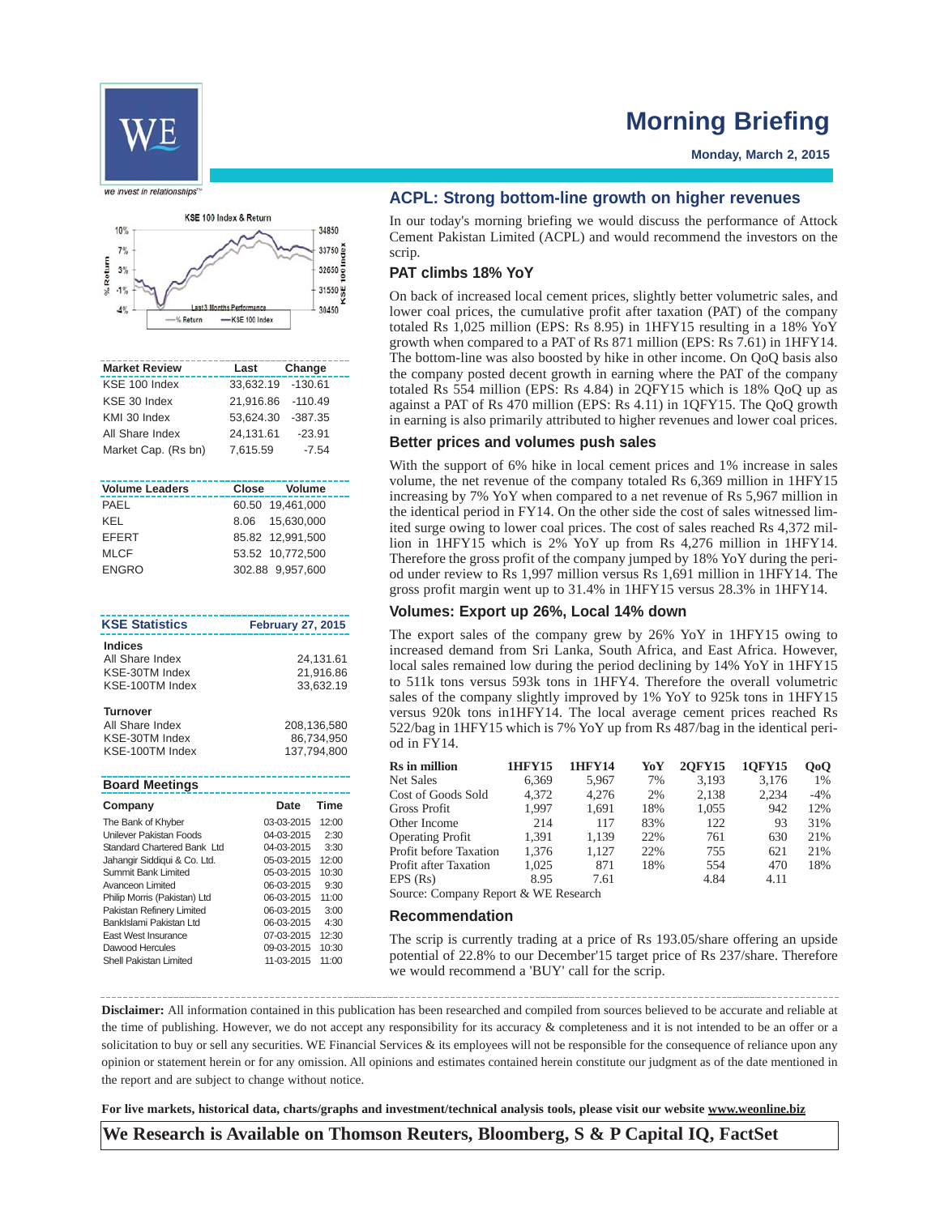

we invest in relationships'



| Change                |
|-----------------------|
| 33,632.19 -130.61     |
| 21,916.86 -110.49     |
| 53,624.30<br>-387.35  |
| 24,131.61<br>$-23.91$ |
| 7,615.59<br>-7.54     |
|                       |

| Close Volume     |
|------------------|
| 60.50 19,461,000 |
| 8.06 15.630.000  |
| 85.82 12.991.500 |
| 53.52 10.772.500 |
| 302.88 9.957.600 |
|                  |

| <b>KSE Statistics</b>                                                   | <b>February 27, 2015</b>                 |
|-------------------------------------------------------------------------|------------------------------------------|
| <b>Indices</b><br>All Share Index<br>KSF-30TM Index<br>KSF-100TM Index  | 24,131.61<br>21.916.86<br>33.632.19      |
| <b>Turnover</b><br>All Share Index<br>KSE-30TM Index<br>KSF-100TM Index | 208.136.580<br>86.734.950<br>137.794.800 |

**Board Meetings**

| DUAIU MICCIIIIYS             |             |       |
|------------------------------|-------------|-------|
| Company                      | <b>Date</b> | Time  |
| The Bank of Khyber           | 03-03-2015  | 12:00 |
| Unilever Pakistan Foods      | 04-03-2015  | 2:30  |
| Standard Chartered Bank Ltd  | 04-03-2015  | 3:30  |
| Jahangir Siddigui & Co. Ltd. | 05-03-2015  | 12:00 |
| Summit Bank Limited          | 05-03-2015  | 10:30 |
| Avanceon Limited             | 06-03-2015  | 9:30  |
| Philip Morris (Pakistan) Ltd | 06-03-2015  | 11:00 |
| Pakistan Refinery Limited    | 06-03-2015  | 3:00  |
| BankIslami Pakistan I td     | 06-03-2015  | 4:30  |
| East West Insurance          | 07-03-2015  | 12:30 |
| Dawood Hercules              | 09-03-2015  | 10:30 |
| Shell Pakistan Limited       | 11-03-2015  | 11:00 |
|                              |             |       |

## **Morning Briefing**

**Monday, March 2, 2015**

### **ACPL: Strong bottom-line growth on higher revenues**

In our today's morning briefing we would discuss the performance of Attock Cement Pakistan Limited (ACPL) and would recommend the investors on the scrip.

### **PAT climbs 18% YoY**

On back of increased local cement prices, slightly better volumetric sales, and lower coal prices, the cumulative profit after taxation (PAT) of the company totaled Rs 1,025 million (EPS: Rs 8.95) in 1HFY15 resulting in a 18% YoY growth when compared to a PAT of Rs 871 million (EPS: Rs 7.61) in 1HFY14. The bottom-line was also boosted by hike in other income. On QoQ basis also the company posted decent growth in earning where the PAT of the company totaled Rs 554 million (EPS: Rs 4.84) in 2QFY15 which is 18% QoQ up as against a PAT of Rs 470 million (EPS: Rs 4.11) in 1QFY15. The QoQ growth in earning is also primarily attributed to higher revenues and lower coal prices.

### **Better prices and volumes push sales**

With the support of 6% hike in local cement prices and 1% increase in sales volume, the net revenue of the company totaled Rs 6,369 million in 1HFY15 increasing by 7% YoY when compared to a net revenue of Rs 5,967 million in the identical period in FY14. On the other side the cost of sales witnessed limited surge owing to lower coal prices. The cost of sales reached Rs 4,372 million in 1HFY15 which is 2% YoY up from Rs 4,276 million in 1HFY14. Therefore the gross profit of the company jumped by 18% YoY during the period under review to Rs 1,997 million versus Rs 1,691 million in 1HFY14. The gross profit margin went up to 31.4% in 1HFY15 versus 28.3% in 1HFY14.

### **Volumes: Export up 26%, Local 14% down**

The export sales of the company grew by 26% YoY in 1HFY15 owing to increased demand from Sri Lanka, South Africa, and East Africa. However, local sales remained low during the period declining by 14% YoY in 1HFY15 to 511k tons versus 593k tons in 1HFY4. Therefore the overall volumetric sales of the company slightly improved by 1% YoY to 925k tons in 1HFY15 versus 920k tons in1HFY14. The local average cement prices reached Rs 522/bag in 1HFY15 which is 7% YoY up from Rs 487/bag in the identical period in FY14.

| Rs in million                        | 1HFY15 | 1HFY14 | YoY | <b>20FY15</b> | 10FY15 | QoQ   |
|--------------------------------------|--------|--------|-----|---------------|--------|-------|
| Net Sales                            | 6,369  | 5,967  | 7%  | 3,193         | 3,176  | 1%    |
| Cost of Goods Sold                   | 4.372  | 4.276  | 2%  | 2.138         | 2.234  | $-4%$ |
| Gross Profit                         | 1.997  | 1.691  | 18% | 1.055         | 942    | 12%   |
| Other Income                         | 214    | 117    | 83% | 122           | 93     | 31%   |
| <b>Operating Profit</b>              | 1.391  | 1.139  | 22% | 761           | 630    | 21%   |
| Profit before Taxation               | 1.376  | 1.127  | 22% | 755           | 621    | 21%   |
| Profit after Taxation                | 1.025  | 871    | 18% | 554           | 470    | 18%   |
| EPS(Rs)                              | 8.95   | 7.61   |     | 4.84          | 4.11   |       |
| Course: Company Doport & WE Dossersh |        |        |     |               |        |       |

Source: Company Report & WE Research

### **Recommendation**

The scrip is currently trading at a price of Rs 193.05/share offering an upside potential of 22.8% to our December'15 target price of Rs 237/share. Therefore we would recommend a 'BUY' call for the scrip.

**Disclaimer:** All information contained in this publication has been researched and compiled from sources believed to be accurate and reliable at the time of publishing. However, we do not accept any responsibility for its accuracy & completeness and it is not intended to be an offer or a solicitation to buy or sell any securities. WE Financial Services & its employees will not be responsible for the consequence of reliance upon any opinion or statement herein or for any omission. All opinions and estimates contained herein constitute our judgment as of the date mentioned in the report and are subject to change without notice.

**For live markets, historical data, charts/graphs and investment/technical analysis tools, please visit our website www.weonline.biz**

**We Research is Available on Thomson Reuters, Bloomberg, S & P Capital IQ, FactSet**